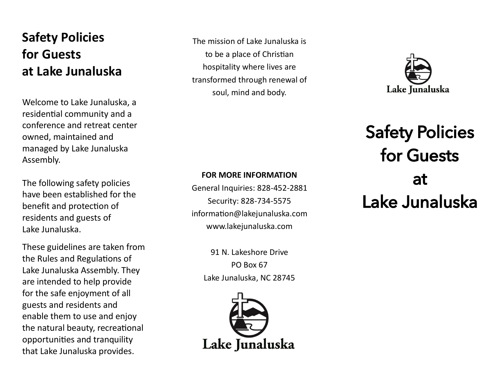## **Safety Policies for Guests at Lake Junaluska**

Welcome to Lake Junaluska, a residential community and a conference and retreat center owned, maintained and managed by Lake Junaluska Assembly.

The following safety policies have been established for the benefit and protection of residents and guests of Lake Junaluska.

These guidelines are taken from the Rules and Regulations of Lake Junaluska Assembly. They are intended to help provide for the safe enjoyment of all guests and residents and enable them to use and enjoy the natural beauty, recreational opportunities and tranquility that Lake Junaluska provides.

The mission of Lake Junaluska is to be a place of Christian hospitality where lives are transformed through renewal of soul, mind and body.



## Safety Policies for Guests at Lake Junaluska

## **FOR MORE INFORMATION**

General Inquiries: 828 -452 -2881 Security: 828 -734 -5575 information@lakejunaluska.com www.lakejunaluska.com

> 91 N. Lakeshore Drive PO Box 67 Lake Junaluska, NC 28745